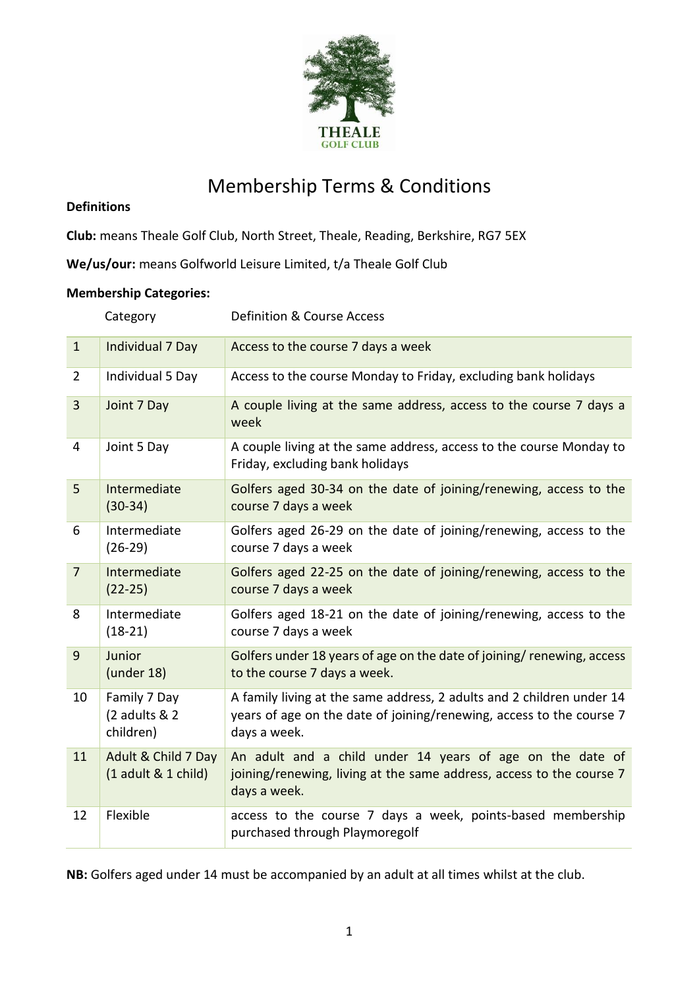

# Membership Terms & Conditions

### **Definitions**

**Club:** means Theale Golf Club, North Street, Theale, Reading, Berkshire, RG7 5EX

**We/us/our:** means Golfworld Leisure Limited, t/a Theale Golf Club

## **Membership Categories:**

|                | Category                                   | Definition & Course Access                                                                                                                                    |
|----------------|--------------------------------------------|---------------------------------------------------------------------------------------------------------------------------------------------------------------|
| $\mathbf{1}$   | Individual 7 Day                           | Access to the course 7 days a week                                                                                                                            |
| $\overline{2}$ | Individual 5 Day                           | Access to the course Monday to Friday, excluding bank holidays                                                                                                |
| 3              | Joint 7 Day                                | A couple living at the same address, access to the course 7 days a<br>week                                                                                    |
| 4              | Joint 5 Day                                | A couple living at the same address, access to the course Monday to<br>Friday, excluding bank holidays                                                        |
| 5              | Intermediate<br>$(30-34)$                  | Golfers aged 30-34 on the date of joining/renewing, access to the<br>course 7 days a week                                                                     |
| 6              | Intermediate<br>$(26-29)$                  | Golfers aged 26-29 on the date of joining/renewing, access to the<br>course 7 days a week                                                                     |
| $\overline{7}$ | Intermediate<br>$(22-25)$                  | Golfers aged 22-25 on the date of joining/renewing, access to the<br>course 7 days a week                                                                     |
| 8              | Intermediate<br>$(18-21)$                  | Golfers aged 18-21 on the date of joining/renewing, access to the<br>course 7 days a week                                                                     |
| 9              | Junior<br>$($ under 18 $)$                 | Golfers under 18 years of age on the date of joining/ renewing, access<br>to the course 7 days a week.                                                        |
| 10             | Family 7 Day<br>(2 adults & 2<br>children) | A family living at the same address, 2 adults and 2 children under 14<br>years of age on the date of joining/renewing, access to the course 7<br>days a week. |
| 11             | Adult & Child 7 Day<br>(1 adult & 1 child) | An adult and a child under 14 years of age on the date of<br>joining/renewing, living at the same address, access to the course 7<br>days a week.             |
| 12             | Flexible                                   | access to the course 7 days a week, points-based membership<br>purchased through Playmoregolf                                                                 |

**NB:** Golfers aged under 14 must be accompanied by an adult at all times whilst at the club.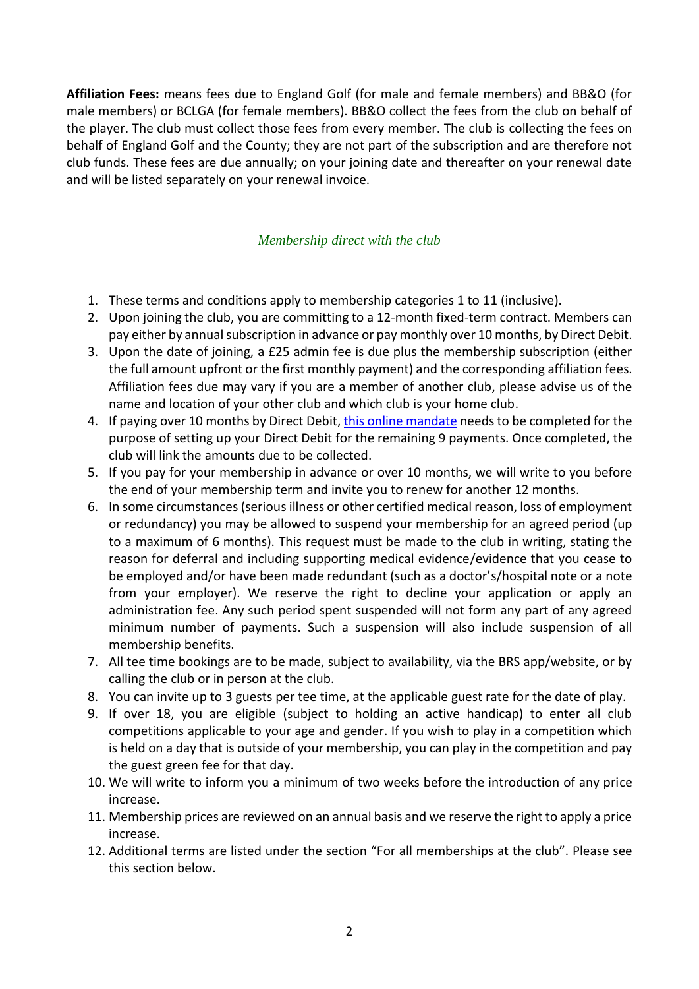**Affiliation Fees:** means fees due to England Golf (for male and female members) and BB&O (for male members) or BCLGA (for female members). BB&O collect the fees from the club on behalf of the player. The club must collect those fees from every member. The club is collecting the fees on behalf of England Golf and the County; they are not part of the subscription and are therefore not club funds. These fees are due annually; on your joining date and thereafter on your renewal date and will be listed separately on your renewal invoice.

*Membership direct with the club*

- 1. These terms and conditions apply to membership categories 1 to 11 (inclusive).
- 2. Upon joining the club, you are committing to a 12-month fixed-term contract. Members can pay either by annual subscription in advance or pay monthly over 10 months, by Direct Debit.
- 3. Upon the date of joining, a £25 admin fee is due plus the membership subscription (either the full amount upfront or the first monthly payment) and the corresponding affiliation fees. Affiliation fees due may vary if you are a member of another club, please advise us of the name and location of your other club and which club is your home club.
- 4. If paying over 10 months by Direct Debit, this online [mandate](https://pay.gocardless.com/AL0004M72KWKBQ) needs to be completed for the purpose of setting up your Direct Debit for the remaining 9 payments. Once completed, the club will link the amounts due to be collected.
- 5. If you pay for your membership in advance or over 10 months, we will write to you before the end of your membership term and invite you to renew for another 12 months.
- 6. In some circumstances (serious illness or other certified medical reason, loss of employment or redundancy) you may be allowed to suspend your membership for an agreed period (up to a maximum of 6 months). This request must be made to the club in writing, stating the reason for deferral and including supporting medical evidence/evidence that you cease to be employed and/or have been made redundant (such as a doctor's/hospital note or a note from your employer). We reserve the right to decline your application or apply an administration fee. Any such period spent suspended will not form any part of any agreed minimum number of payments. Such a suspension will also include suspension of all membership benefits.
- 7. All tee time bookings are to be made, subject to availability, via the BRS app/website, or by calling the club or in person at the club.
- 8. You can invite up to 3 guests per tee time, at the applicable guest rate for the date of play.
- 9. If over 18, you are eligible (subject to holding an active handicap) to enter all club competitions applicable to your age and gender. If you wish to play in a competition which is held on a day that is outside of your membership, you can play in the competition and pay the guest green fee for that day.
- 10. We will write to inform you a minimum of two weeks before the introduction of any price increase.
- 11. Membership prices are reviewed on an annual basis and we reserve the right to apply a price increase.
- 12. Additional terms are listed under the section "For all memberships at the club". Please see this section below.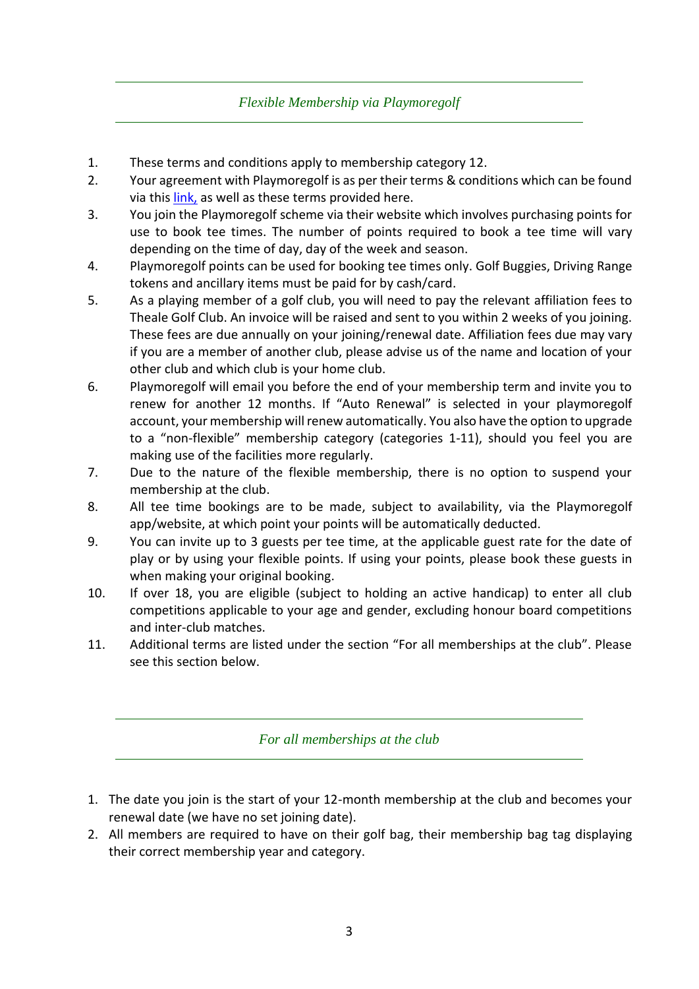## *Flexible Membership via Playmoregolf*

- 1. These terms and conditions apply to membership category 12.
- 2. Your agreement with Playmoregolf is as per their terms & conditions which can be found via this [link,](https://www.playmore.golf/terms-and-conditions/) as well as these terms provided here.
- 3. You join the Playmoregolf scheme via their website which involves purchasing points for use to book tee times. The number of points required to book a tee time will vary depending on the time of day, day of the week and season.
- 4. Playmoregolf points can be used for booking tee times only. Golf Buggies, Driving Range tokens and ancillary items must be paid for by cash/card.
- 5. As a playing member of a golf club, you will need to pay the relevant affiliation fees to Theale Golf Club. An invoice will be raised and sent to you within 2 weeks of you joining. These fees are due annually on your joining/renewal date. Affiliation fees due may vary if you are a member of another club, please advise us of the name and location of your other club and which club is your home club.
- 6. Playmoregolf will email you before the end of your membership term and invite you to renew for another 12 months. If "Auto Renewal" is selected in your playmoregolf account, your membership will renew automatically. You also have the option to upgrade to a "non-flexible" membership category (categories 1-11), should you feel you are making use of the facilities more regularly.
- 7. Due to the nature of the flexible membership, there is no option to suspend your membership at the club.
- 8. All tee time bookings are to be made, subject to availability, via the Playmoregolf app/website, at which point your points will be automatically deducted.
- 9. You can invite up to 3 guests per tee time, at the applicable guest rate for the date of play or by using your flexible points. If using your points, please book these guests in when making your original booking.
- 10. If over 18, you are eligible (subject to holding an active handicap) to enter all club competitions applicable to your age and gender, excluding honour board competitions and inter-club matches.
- 11. Additional terms are listed under the section "For all memberships at the club". Please see this section below.

## *For all memberships at the club*

- 1. The date you join is the start of your 12-month membership at the club and becomes your renewal date (we have no set joining date).
- 2. All members are required to have on their golf bag, their membership bag tag displaying their correct membership year and category.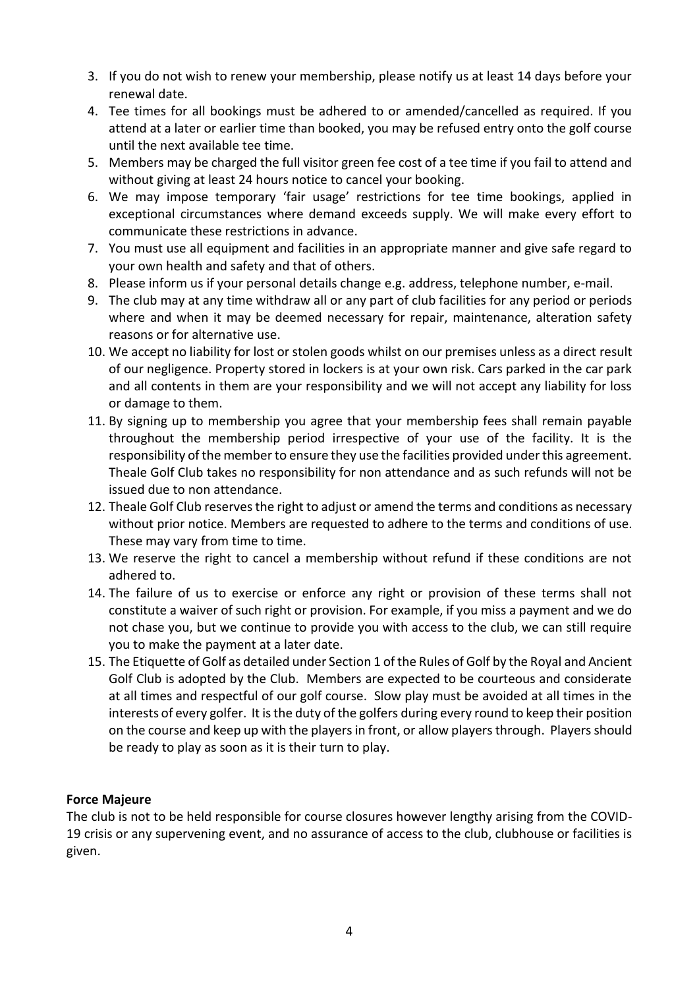- 3. If you do not wish to renew your membership, please notify us at least 14 days before your renewal date.
- 4. Tee times for all bookings must be adhered to or amended/cancelled as required. If you attend at a later or earlier time than booked, you may be refused entry onto the golf course until the next available tee time.
- 5. Members may be charged the full visitor green fee cost of a tee time if you fail to attend and without giving at least 24 hours notice to cancel your booking.
- 6. We may impose temporary 'fair usage' restrictions for tee time bookings, applied in exceptional circumstances where demand exceeds supply. We will make every effort to communicate these restrictions in advance.
- 7. You must use all equipment and facilities in an appropriate manner and give safe regard to your own health and safety and that of others.
- 8. Please inform us if your personal details change e.g. address, telephone number, e-mail.
- 9. The club may at any time withdraw all or any part of club facilities for any period or periods where and when it may be deemed necessary for repair, maintenance, alteration safety reasons or for alternative use.
- 10. We accept no liability for lost or stolen goods whilst on our premises unless as a direct result of our negligence. Property stored in lockers is at your own risk. Cars parked in the car park and all contents in them are your responsibility and we will not accept any liability for loss or damage to them.
- 11. By signing up to membership you agree that your membership fees shall remain payable throughout the membership period irrespective of your use of the facility. It is the responsibility of the member to ensure they use the facilities provided under this agreement. Theale Golf Club takes no responsibility for non attendance and as such refunds will not be issued due to non attendance.
- 12. Theale Golf Club reserves the right to adjust or amend the terms and conditions as necessary without prior notice. Members are requested to adhere to the terms and conditions of use. These may vary from time to time.
- 13. We reserve the right to cancel a membership without refund if these conditions are not adhered to.
- 14. The failure of us to exercise or enforce any right or provision of these terms shall not constitute a waiver of such right or provision. For example, if you miss a payment and we do not chase you, but we continue to provide you with access to the club, we can still require you to make the payment at a later date.
- 15. The Etiquette of Golf as detailed under Section 1 of the Rules of Golf by the Royal and Ancient Golf Club is adopted by the Club. Members are expected to be courteous and considerate at all times and respectful of our golf course. Slow play must be avoided at all times in the interests of every golfer. It is the duty of the golfers during every round to keep their position on the course and keep up with the playersin front, or allow players through. Players should be ready to play as soon as it is their turn to play.

## **Force Majeure**

The club is not to be held responsible for course closures however lengthy arising from the COVID-19 crisis or any supervening event, and no assurance of access to the club, clubhouse or facilities is given.